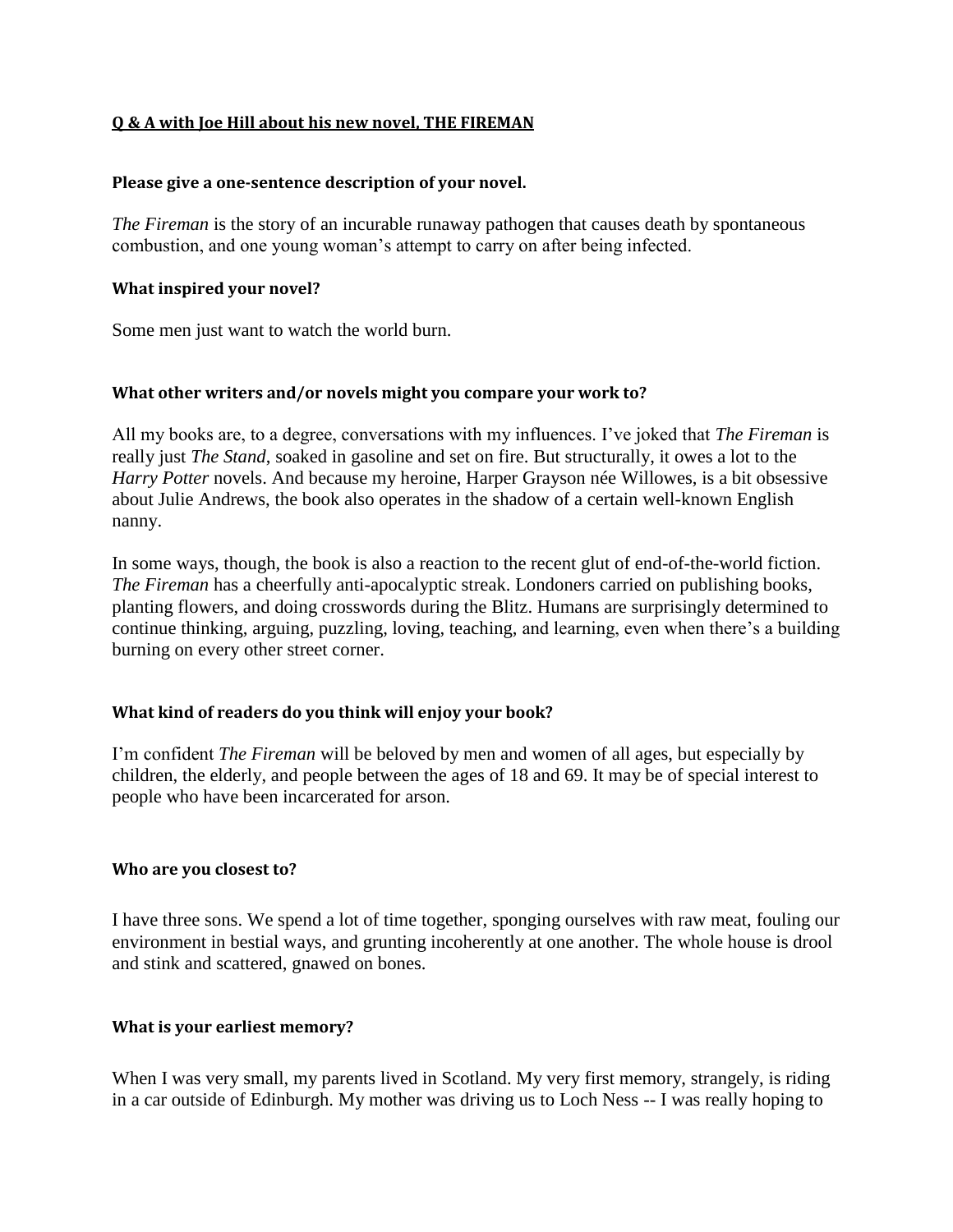#### **Q & A with Joe Hill about his new novel, THE FIREMAN**

#### **Please give a one-sentence description of your novel.**

*The Fireman* is the story of an incurable runaway pathogen that causes death by spontaneous combustion, and one young woman's attempt to carry on after being infected.

#### **What inspired your novel?**

Some men just want to watch the world burn.

#### **What other writers and/or novels might you compare your work to?**

All my books are, to a degree, conversations with my influences. I've joked that *The Fireman* is really just *The Stand*, soaked in gasoline and set on fire. But structurally, it owes a lot to the *Harry Potter* novels. And because my heroine, Harper Grayson née Willowes, is a bit obsessive about Julie Andrews, the book also operates in the shadow of a certain well-known English nanny.

In some ways, though, the book is also a reaction to the recent glut of end-of-the-world fiction. *The Fireman* has a cheerfully anti-apocalyptic streak. Londoners carried on publishing books, planting flowers, and doing crosswords during the Blitz. Humans are surprisingly determined to continue thinking, arguing, puzzling, loving, teaching, and learning, even when there's a building burning on every other street corner.

#### **What kind of readers do you think will enjoy your book?**

I'm confident *The Fireman* will be beloved by men and women of all ages, but especially by children, the elderly, and people between the ages of 18 and 69. It may be of special interest to people who have been incarcerated for arson.

#### **Who are you closest to?**

I have three sons. We spend a lot of time together, sponging ourselves with raw meat, fouling our environment in bestial ways, and grunting incoherently at one another. The whole house is drool and stink and scattered, gnawed on bones.

#### **What is your earliest memory?**

When I was very small, my parents lived in Scotland. My very first memory, strangely, is riding in a car outside of Edinburgh. My mother was driving us to Loch Ness -- I was really hoping to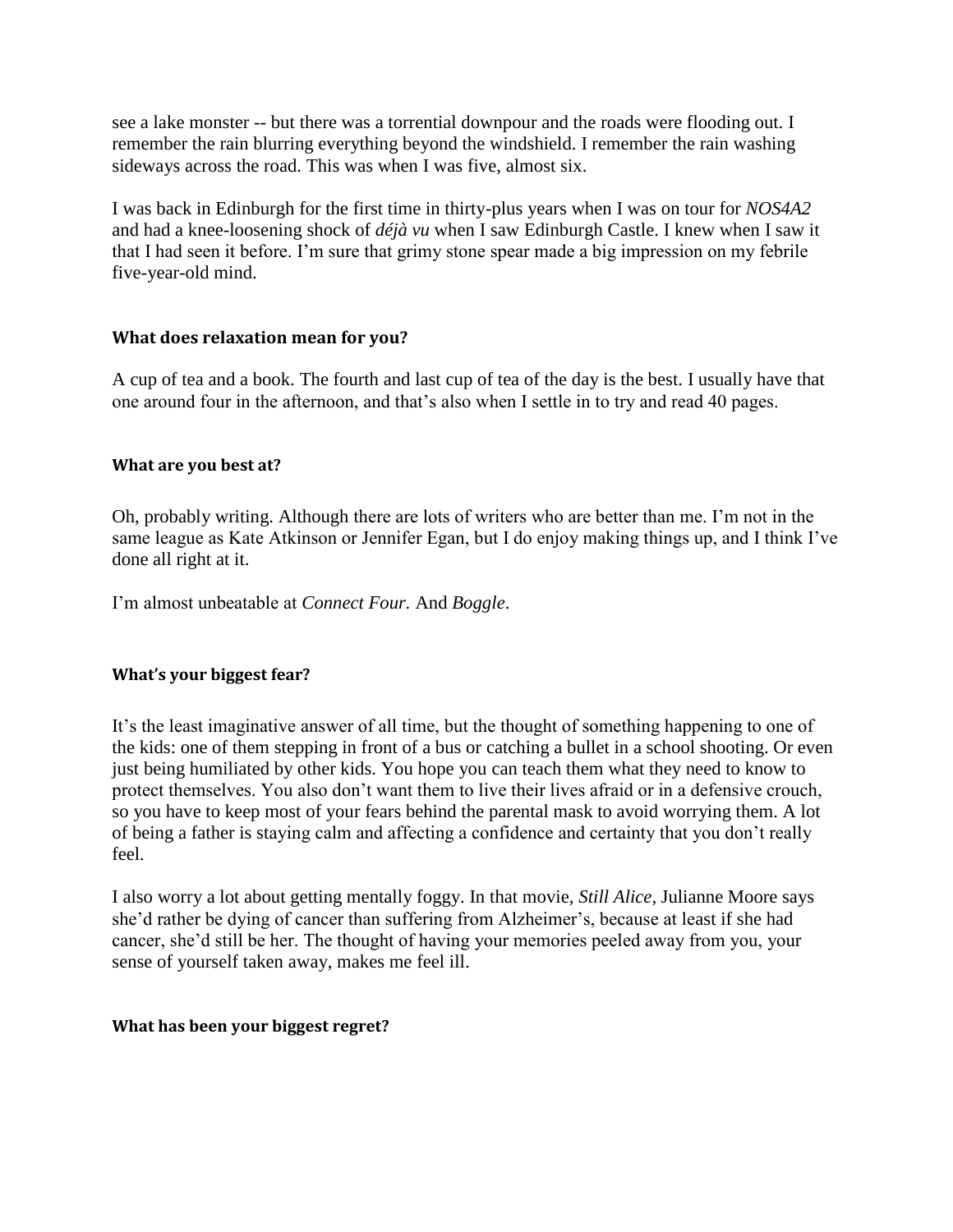see a lake monster -- but there was a torrential downpour and the roads were flooding out. I remember the rain blurring everything beyond the windshield. I remember the rain washing sideways across the road. This was when I was five, almost six.

I was back in Edinburgh for the first time in thirty-plus years when I was on tour for *NOS4A2* and had a knee-loosening shock of *déjà vu* when I saw Edinburgh Castle. I knew when I saw it that I had seen it before. I'm sure that grimy stone spear made a big impression on my febrile five-year-old mind.

# **What does relaxation mean for you?**

A cup of tea and a book. The fourth and last cup of tea of the day is the best. I usually have that one around four in the afternoon, and that's also when I settle in to try and read 40 pages.

## **What are you best at?**

Oh, probably writing. Although there are lots of writers who are better than me. I'm not in the same league as Kate Atkinson or Jennifer Egan, but I do enjoy making things up, and I think I've done all right at it.

I'm almost unbeatable at *Connect Four.* And *Boggle*.

## **What's your biggest fear?**

It's the least imaginative answer of all time, but the thought of something happening to one of the kids: one of them stepping in front of a bus or catching a bullet in a school shooting. Or even just being humiliated by other kids. You hope you can teach them what they need to know to protect themselves. You also don't want them to live their lives afraid or in a defensive crouch, so you have to keep most of your fears behind the parental mask to avoid worrying them. A lot of being a father is staying calm and affecting a confidence and certainty that you don't really feel.

I also worry a lot about getting mentally foggy. In that movie, *Still Alice*, Julianne Moore says she'd rather be dying of cancer than suffering from Alzheimer's, because at least if she had cancer, she'd still be her. The thought of having your memories peeled away from you, your sense of yourself taken away, makes me feel ill.

## **What has been your biggest regret?**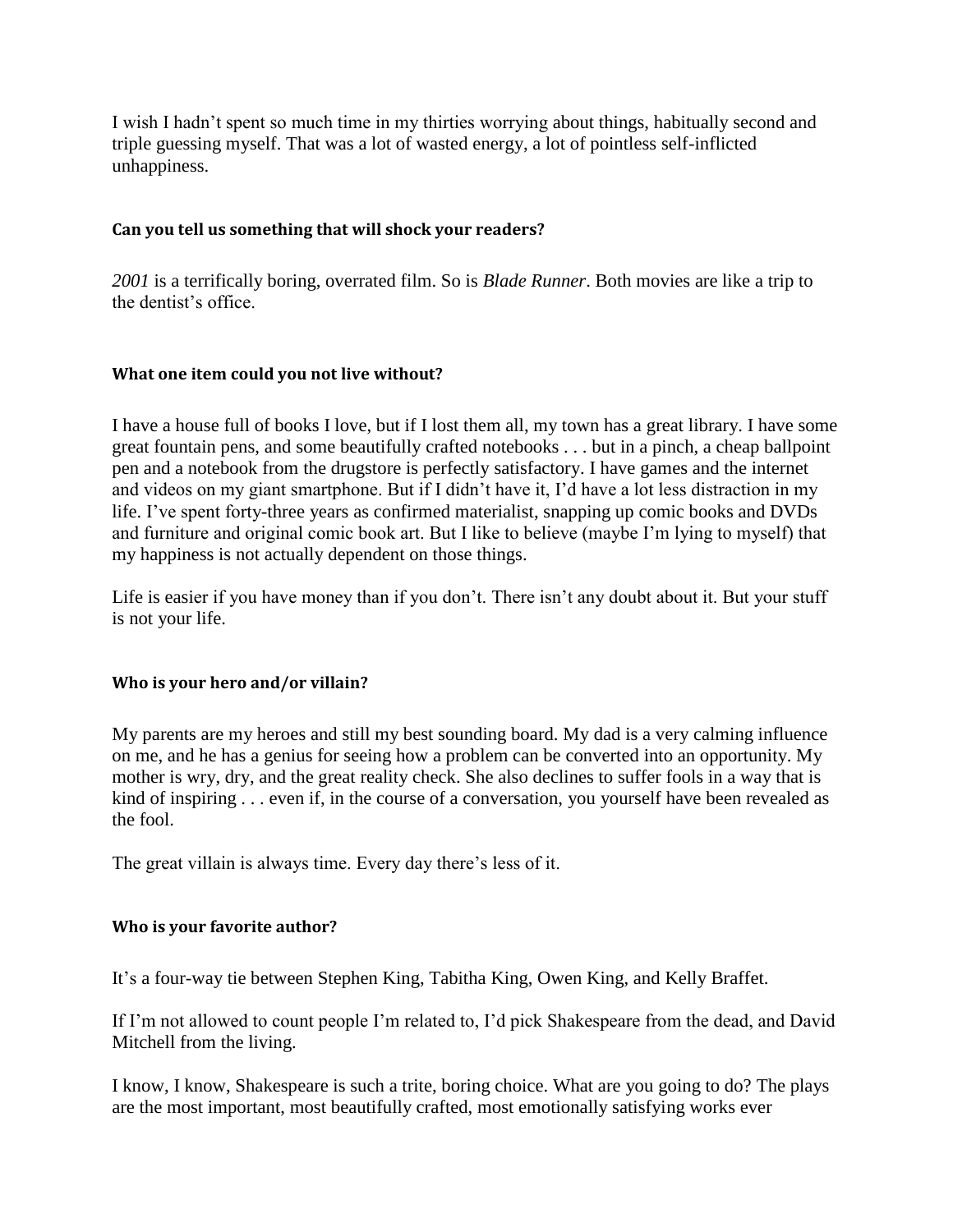I wish I hadn't spent so much time in my thirties worrying about things, habitually second and triple guessing myself. That was a lot of wasted energy, a lot of pointless self-inflicted unhappiness.

# **Can you tell us something that will shock your readers?**

*2001* is a terrifically boring, overrated film. So is *Blade Runner*. Both movies are like a trip to the dentist's office.

## **What one item could you not live without?**

I have a house full of books I love, but if I lost them all, my town has a great library. I have some great fountain pens, and some beautifully crafted notebooks . . . but in a pinch, a cheap ballpoint pen and a notebook from the drugstore is perfectly satisfactory. I have games and the internet and videos on my giant smartphone. But if I didn't have it, I'd have a lot less distraction in my life. I've spent forty-three years as confirmed materialist, snapping up comic books and DVDs and furniture and original comic book art. But I like to believe (maybe I'm lying to myself) that my happiness is not actually dependent on those things.

Life is easier if you have money than if you don't. There isn't any doubt about it. But your stuff is not your life.

## **Who is your hero and/or villain?**

My parents are my heroes and still my best sounding board. My dad is a very calming influence on me, and he has a genius for seeing how a problem can be converted into an opportunity. My mother is wry, dry, and the great reality check. She also declines to suffer fools in a way that is kind of inspiring . . . even if, in the course of a conversation, you yourself have been revealed as the fool.

The great villain is always time. Every day there's less of it.

## **Who is your favorite author?**

It's a four-way tie between Stephen King, Tabitha King, Owen King, and Kelly Braffet.

If I'm not allowed to count people I'm related to, I'd pick Shakespeare from the dead, and David Mitchell from the living.

I know, I know, Shakespeare is such a trite, boring choice. What are you going to do? The plays are the most important, most beautifully crafted, most emotionally satisfying works ever